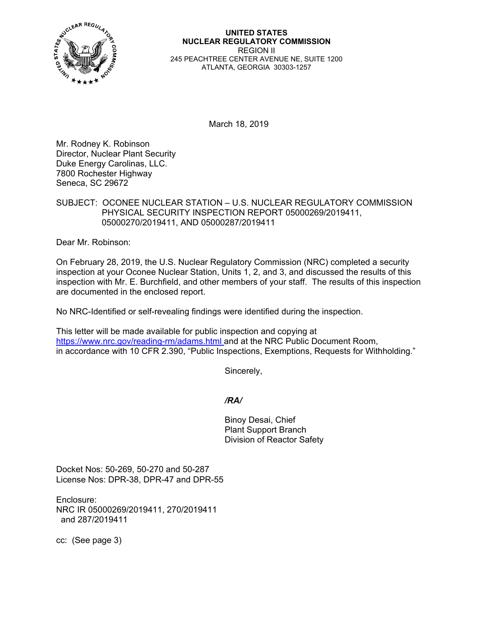

**UNITED STATES NUCLEAR REGULATORY COMMISSION**  REGION II 245 PEACHTREE CENTER AVENUE NE, SUITE 1200 ATLANTA, GEORGIA 30303-1257

March 18, 2019

Mr. Rodney K. Robinson Director, Nuclear Plant Security Duke Energy Carolinas, LLC. 7800 Rochester Highway Seneca, SC 29672

### SUBJECT: OCONEE NUCLEAR STATION – U.S. NUCLEAR REGULATORY COMMISSION PHYSICAL SECURITY INSPECTION REPORT 05000269/2019411, 05000270/2019411, AND 05000287/2019411

Dear Mr. Robinson:

On February 28, 2019, the U.S. Nuclear Regulatory Commission (NRC) completed a security inspection at your Oconee Nuclear Station, Units 1, 2, and 3, and discussed the results of this inspection with Mr. E. Burchfield, and other members of your staff. The results of this inspection are documented in the enclosed report.

No NRC-Identified or self-revealing findings were identified during the inspection.

This letter will be made available for public inspection and copying at https://www.nrc.gov/reading-rm/adams.html and at the NRC Public Document Room, in accordance with 10 CFR 2.390, "Public Inspections, Exemptions, Requests for Withholding."

Sincerely,

*/RA/* 

Binoy Desai, Chief Plant Support Branch Division of Reactor Safety

Docket Nos: 50-269, 50-270 and 50-287 License Nos: DPR-38, DPR-47 and DPR-55

Enclosure: NRC IR 05000269/2019411, 270/2019411 and 287/2019411

cc: (See page 3)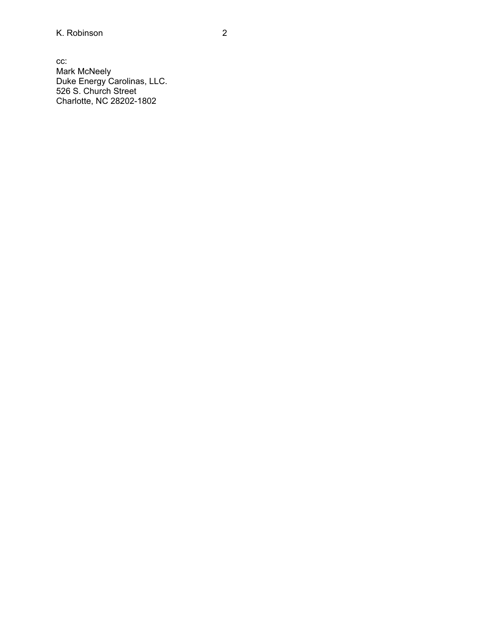cc: Mark McNeely Duke Energy Carolinas, LLC. 526 S. Church Street Charlotte, NC 28202-1802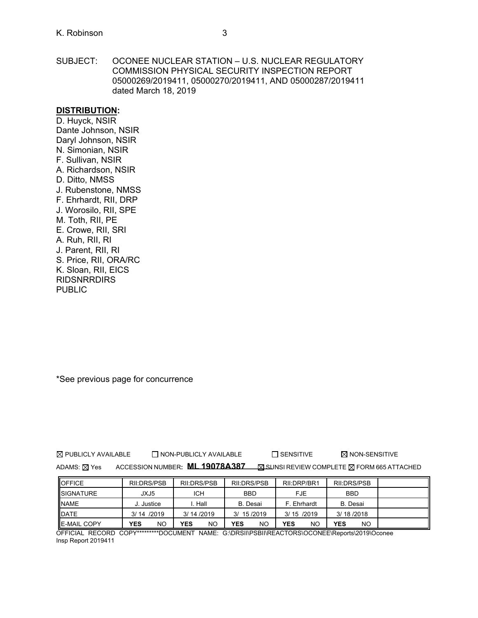SUBJECT: OCONEE NUCLEAR STATION – U.S. NUCLEAR REGULATORY COMMISSION PHYSICAL SECURITY INSPECTION REPORT 05000269/2019411, 05000270/2019411, AND 05000287/2019411 dated March 18, 2019

#### **DISTRIBUTION:**

D. Huyck, NSIR Dante Johnson, NSIR Daryl Johnson, NSIR N. Simonian, NSIR F. Sullivan, NSIR A. Richardson, NSIR D. Ditto, NMSS J. Rubenstone, NMSS F. Ehrhardt, RII, DRP J. Worosilo, RII, SPE M. Toth, RII, PE E. Crowe, RII, SRI A. Ruh, RII, RI J. Parent, RII, RI S. Price, RII, ORA/RC K. Sloan, RII, EICS **RIDSNRRDIRS** PUBLIC

\*See previous page for concurrence

 $\boxtimes$  PUBLICLY AVAILABLE  $\Box$  NON-PUBLICLY AVAILABLE  $\Box$  SENSITIVE  $\boxtimes$  NON-SENSITIVE

ADAMS: **X** Yes ACCESSION NUMBER: **ML 19078A387 SUNSI REVIEW COMPLETE X FORM 665 ATTACHED** 

| <b>OFFICE</b>       | RII:DRS/PSB | RILDRS/PSB | RILDRS/PSB       | RII:DRP/BR1      | RII:DRS/PSB      |  |
|---------------------|-------------|------------|------------------|------------------|------------------|--|
| <b>ISIGNATURE</b>   | JXJ5        | <b>ICH</b> | <b>BBD</b>       | <b>FJE</b>       | <b>BBD</b>       |  |
| <b>NAME</b>         | J. Justice  | . Hall     | B. Desai         | F. Ehrhardt      | B. Desai         |  |
| <b>IDATE</b>        | 3/14/2019   | 3/14/2019  | 3/ 15/2019       | 3/15/2019        | 3/18/2018        |  |
| <b>IE-MAIL COPY</b> | NO<br>YES   | NO<br>YES  | <b>YES</b><br>NO | YES<br><b>NO</b> | <b>YES</b><br>NO |  |

OFFICIAL RECORD COPY\*\*\*\*\*\*\*\*\*DOCUMENT NAME: G:\DRSII\PSBII\REACTORS\OCONEE\Reports\2019\Oconee Insp Report 2019411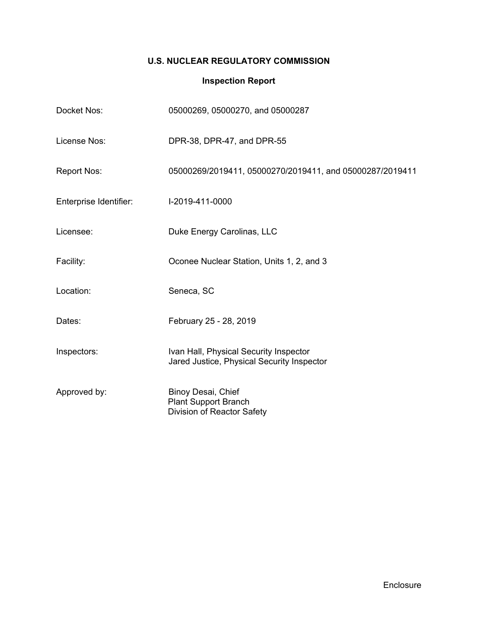## **U.S. NUCLEAR REGULATORY COMMISSION**

# **Inspection Report**

| Docket Nos:            | 05000269, 05000270, and 05000287                                                     |
|------------------------|--------------------------------------------------------------------------------------|
| License Nos:           | DPR-38, DPR-47, and DPR-55                                                           |
| <b>Report Nos:</b>     | 05000269/2019411, 05000270/2019411, and 05000287/2019411                             |
| Enterprise Identifier: | I-2019-411-0000                                                                      |
| Licensee:              | Duke Energy Carolinas, LLC                                                           |
| Facility:              | Oconee Nuclear Station, Units 1, 2, and 3                                            |
| Location:              | Seneca, SC                                                                           |
| Dates:                 | February 25 - 28, 2019                                                               |
| Inspectors:            | Ivan Hall, Physical Security Inspector<br>Jared Justice, Physical Security Inspector |
| Approved by:           | Binoy Desai, Chief<br><b>Plant Support Branch</b><br>Division of Reactor Safety      |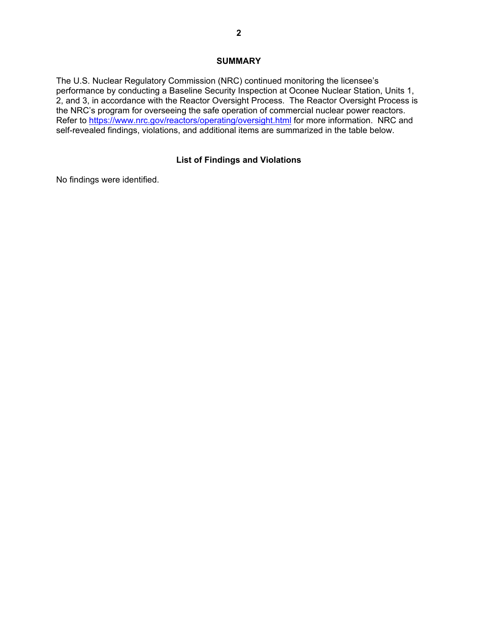### **SUMMARY**

The U.S. Nuclear Regulatory Commission (NRC) continued monitoring the licensee's performance by conducting a Baseline Security Inspection at Oconee Nuclear Station, Units 1, 2, and 3, in accordance with the Reactor Oversight Process. The Reactor Oversight Process is the NRC's program for overseeing the safe operation of commercial nuclear power reactors. Refer to https://www.nrc.gov/reactors/operating/oversight.html for more information. NRC and self-revealed findings, violations, and additional items are summarized in the table below.

### **List of Findings and Violations**

No findings were identified.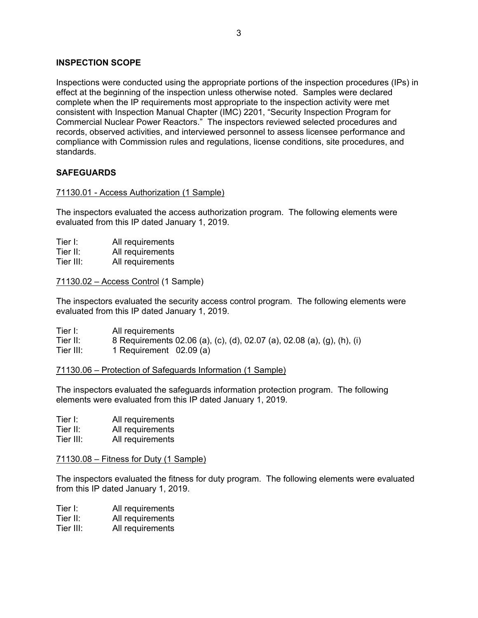### **INSPECTION SCOPE**

Inspections were conducted using the appropriate portions of the inspection procedures (IPs) in effect at the beginning of the inspection unless otherwise noted. Samples were declared complete when the IP requirements most appropriate to the inspection activity were met consistent with Inspection Manual Chapter (IMC) 2201, "Security Inspection Program for Commercial Nuclear Power Reactors." The inspectors reviewed selected procedures and records, observed activities, and interviewed personnel to assess licensee performance and compliance with Commission rules and regulations, license conditions, site procedures, and standards.

### **SAFEGUARDS**

### 71130.01 - Access Authorization (1 Sample)

The inspectors evaluated the access authorization program. The following elements were evaluated from this IP dated January 1, 2019.

| Tier I: | All requirements |
|---------|------------------|
|         |                  |

Tier II: All requirements

Tier III: All requirements

71130.02 – Access Control (1 Sample)

The inspectors evaluated the security access control program. The following elements were evaluated from this IP dated January 1, 2019.

| Tier I:   | All requirements                                                        |
|-----------|-------------------------------------------------------------------------|
| Tier II:  | 8 Requirements 02.06 (a), (c), (d), 02.07 (a), 02.08 (a), (g), (h), (i) |
| Tier III: | 1 Requirement 02.09 (a)                                                 |

### 71130.06 – Protection of Safeguards Information (1 Sample)

The inspectors evaluated the safeguards information protection program. The following elements were evaluated from this IP dated January 1, 2019.

| Tier I: |  | All requirements |  |
|---------|--|------------------|--|
| --      |  |                  |  |

Tier II: All requirements

Tier III: All requirements

### 71130.08 – Fitness for Duty (1 Sample)

The inspectors evaluated the fitness for duty program. The following elements were evaluated from this IP dated January 1, 2019.

- Tier I: All requirements
- Tier II: All requirements
- Tier III: All requirements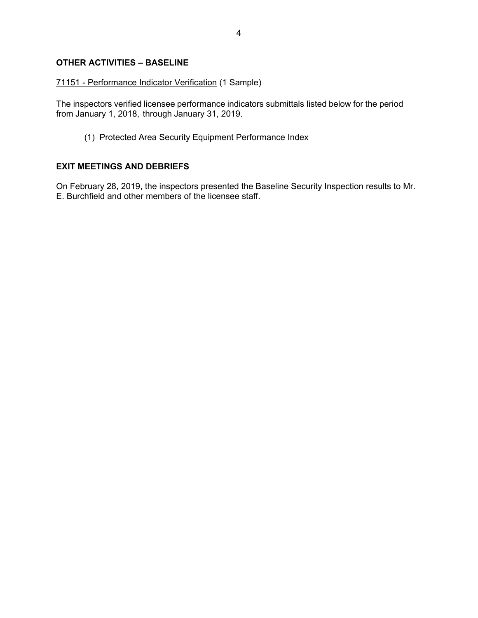## **OTHER ACTIVITIES – BASELINE**

### 71151 - Performance Indicator Verification (1 Sample)

The inspectors verified licensee performance indicators submittals listed below for the period from January 1, 2018, through January 31, 2019.

(1) Protected Area Security Equipment Performance Index

### **EXIT MEETINGS AND DEBRIEFS**

On February 28, 2019, the inspectors presented the Baseline Security Inspection results to Mr. E. Burchfield and other members of the licensee staff.